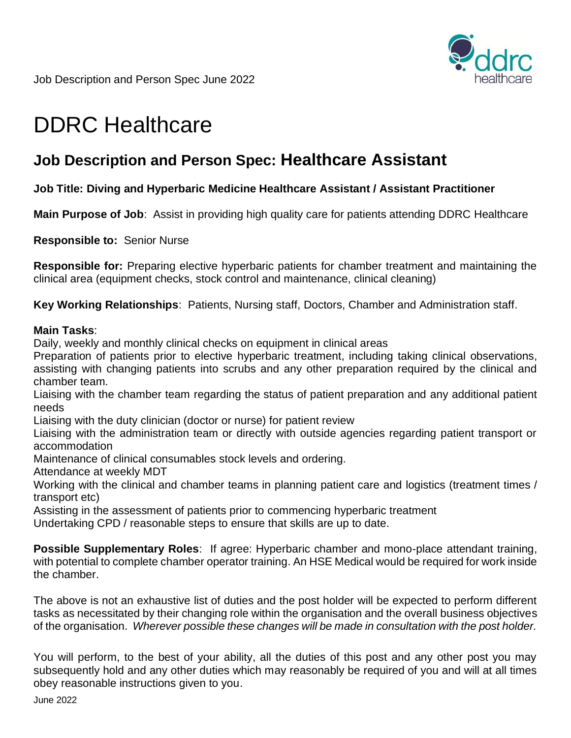

Job Description and Person Spec June 2022

# DDRC Healthcare

## **Job Description and Person Spec: Healthcare Assistant**

#### **Job Title: Diving and Hyperbaric Medicine Healthcare Assistant / Assistant Practitioner**

**Main Purpose of Job**: Assist in providing high quality care for patients attending DDRC Healthcare

**Responsible to:** Senior Nurse

**Responsible for:** Preparing elective hyperbaric patients for chamber treatment and maintaining the clinical area (equipment checks, stock control and maintenance, clinical cleaning)

**Key Working Relationships**: Patients, Nursing staff, Doctors, Chamber and Administration staff.

#### **Main Tasks**:

Daily, weekly and monthly clinical checks on equipment in clinical areas

Preparation of patients prior to elective hyperbaric treatment, including taking clinical observations, assisting with changing patients into scrubs and any other preparation required by the clinical and chamber team.

Liaising with the chamber team regarding the status of patient preparation and any additional patient needs

Liaising with the duty clinician (doctor or nurse) for patient review

Liaising with the administration team or directly with outside agencies regarding patient transport or accommodation

Maintenance of clinical consumables stock levels and ordering.

Attendance at weekly MDT

Working with the clinical and chamber teams in planning patient care and logistics (treatment times / transport etc)

Assisting in the assessment of patients prior to commencing hyperbaric treatment

Undertaking CPD / reasonable steps to ensure that skills are up to date.

**Possible Supplementary Roles**: If agree: Hyperbaric chamber and mono-place attendant training, with potential to complete chamber operator training. An HSE Medical would be required for work inside the chamber.

The above is not an exhaustive list of duties and the post holder will be expected to perform different tasks as necessitated by their changing role within the organisation and the overall business objectives of the organisation. *Wherever possible these changes will be made in consultation with the post holder.*

You will perform, to the best of your ability, all the duties of this post and any other post you may subsequently hold and any other duties which may reasonably be required of you and will at all times obey reasonable instructions given to you.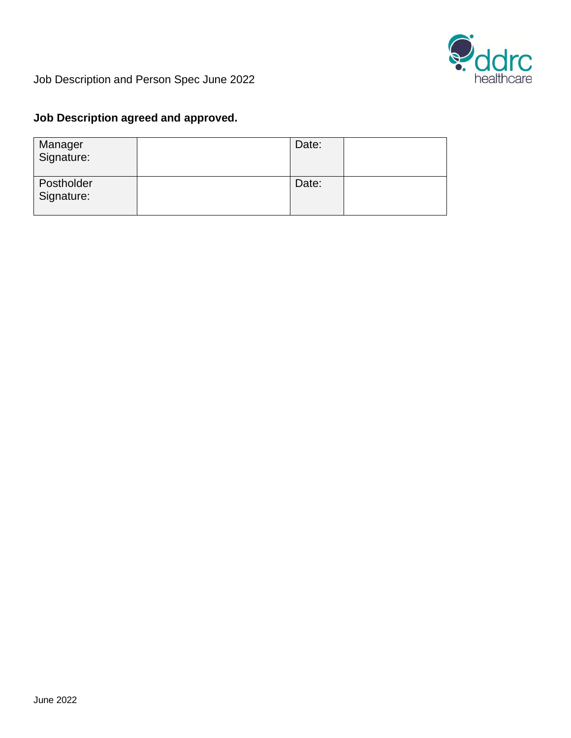

Job Description and Person Spec June 2022

### **Job Description agreed and approved.**

| Manager<br>Signature:    | Date: |  |
|--------------------------|-------|--|
| Postholder<br>Signature: | Date: |  |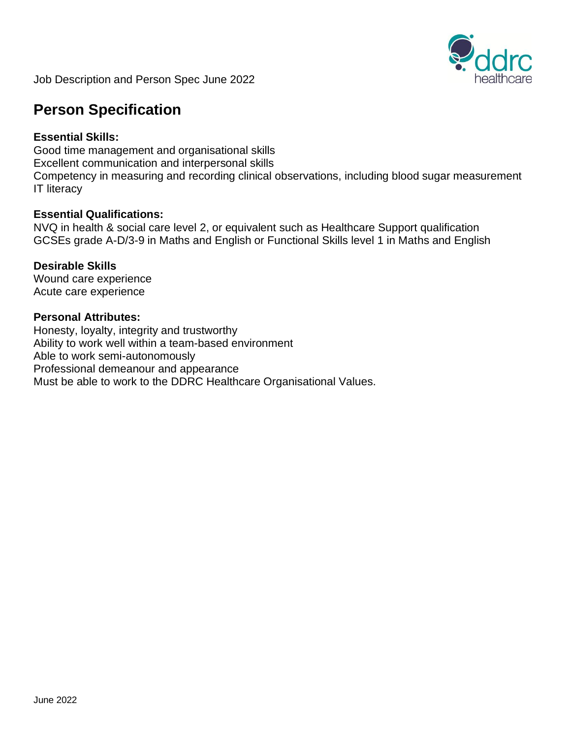

Job Description and Person Spec June 2022

## **Person Specification**

#### **Essential Skills:**

Good time management and organisational skills Excellent communication and interpersonal skills Competency in measuring and recording clinical observations, including blood sugar measurement IT literacy

#### **Essential Qualifications:**

NVQ in health & social care level 2, or equivalent such as Healthcare Support qualification GCSEs grade A-D/3-9 in Maths and English or Functional Skills level 1 in Maths and English

#### **Desirable Skills**

Wound care experience Acute care experience

#### **Personal Attributes:**

Honesty, loyalty, integrity and trustworthy Ability to work well within a team-based environment Able to work semi-autonomously Professional demeanour and appearance Must be able to work to the DDRC Healthcare Organisational Values.